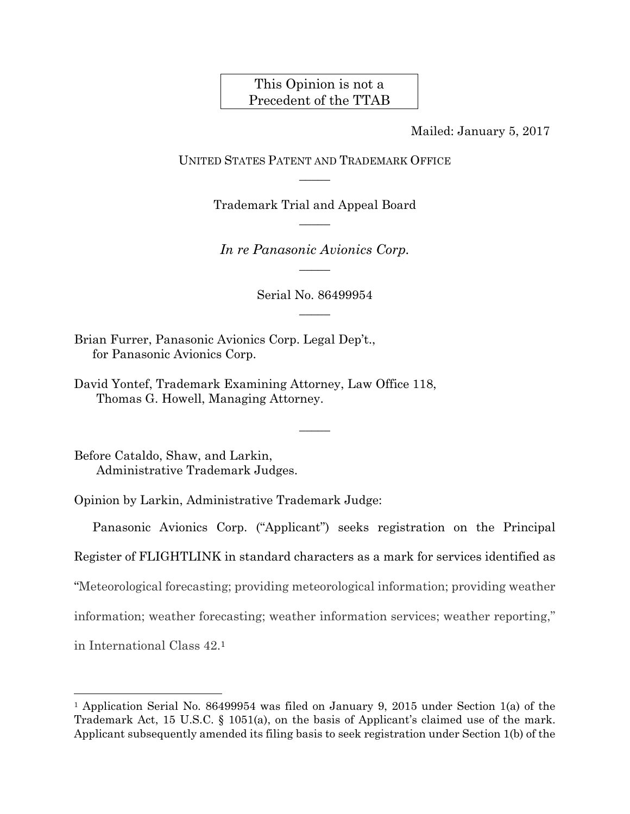## This Opinion is not a Precedent of the TTAB

Mailed: January 5, 2017

UNITED STATES PATENT AND TRADEMARK OFFICE  $\overline{\phantom{a}}$ 

> Trademark Trial and Appeal Board  $\overline{\phantom{a}}$

*In re Panasonic Avionics Corp.*   $\overline{\phantom{a}}$ 

> Serial No. 86499954  $\overline{\phantom{a}}$

> > $\overline{\phantom{a}}$

Brian Furrer, Panasonic Avionics Corp. Legal Dep't., for Panasonic Avionics Corp.

David Yontef, Trademark Examining Attorney, Law Office 118, Thomas G. Howell, Managing Attorney.

Before Cataldo, Shaw, and Larkin, Administrative Trademark Judges.

 $\overline{a}$ 

Opinion by Larkin, Administrative Trademark Judge:

Panasonic Avionics Corp. ("Applicant") seeks registration on the Principal Register of FLIGHTLINK in standard characters as a mark for services identified as "Meteorological forecasting; providing meteorological information; providing weather information; weather forecasting; weather information services; weather reporting," in International Class 42.1

<sup>&</sup>lt;sup>1</sup> Application Serial No. 86499954 was filed on January 9, 2015 under Section 1(a) of the Trademark Act, 15 U.S.C. § 1051(a), on the basis of Applicant's claimed use of the mark. Applicant subsequently amended its filing basis to seek registration under Section 1(b) of the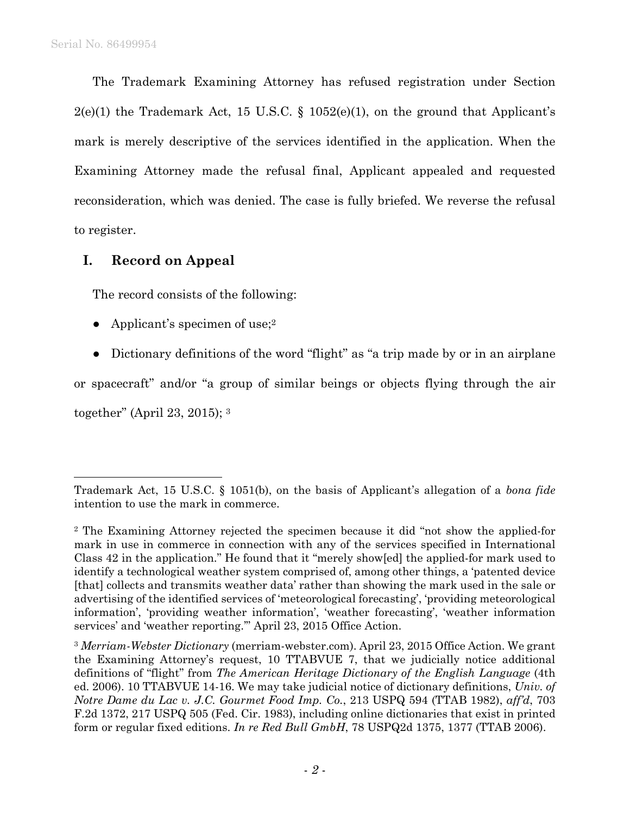The Trademark Examining Attorney has refused registration under Section  $2(e)(1)$  the Trademark Act, 15 U.S.C. § 1052(e)(1), on the ground that Applicant's mark is merely descriptive of the services identified in the application. When the Examining Attorney made the refusal final, Applicant appealed and requested reconsideration, which was denied. The case is fully briefed. We reverse the refusal to register.

**I. Record on Appeal** 

The record consists of the following:

- Applicant's specimen of use;  $2^{\circ}$
- Dictionary definitions of the word "flight" as "a trip made by or in an airplane

or spacecraft" and/or "a group of similar beings or objects flying through the air together" (April 23, 2015); 3

Trademark Act, 15 U.S.C. § 1051(b), on the basis of Applicant's allegation of a *bona fide* intention to use the mark in commerce.

<sup>2</sup> The Examining Attorney rejected the specimen because it did "not show the applied-for mark in use in commerce in connection with any of the services specified in International Class 42 in the application." He found that it "merely show[ed] the applied-for mark used to identify a technological weather system comprised of, among other things, a 'patented device [that] collects and transmits weather data' rather than showing the mark used in the sale or advertising of the identified services of 'meteorological forecasting', 'providing meteorological information', 'providing weather information', 'weather forecasting', 'weather information services' and 'weather reporting.'" April 23, 2015 Office Action.

<sup>3</sup> *Merriam-Webster Dictionary* (merriam-webster.com). April 23, 2015 Office Action. We grant the Examining Attorney's request, 10 TTABVUE 7, that we judicially notice additional definitions of "flight" from *The American Heritage Dictionary of the English Language* (4th ed. 2006). 10 TTABVUE 14-16. We may take judicial notice of dictionary definitions, *Univ. of Notre Dame du Lac v. J.C. Gourmet Food Imp. Co.*, 213 USPQ 594 (TTAB 1982), *aff'd*, 703 F.2d 1372, 217 USPQ 505 (Fed. Cir. 1983), including online dictionaries that exist in printed form or regular fixed editions. *In re Red Bull GmbH*, 78 USPQ2d 1375, 1377 (TTAB 2006).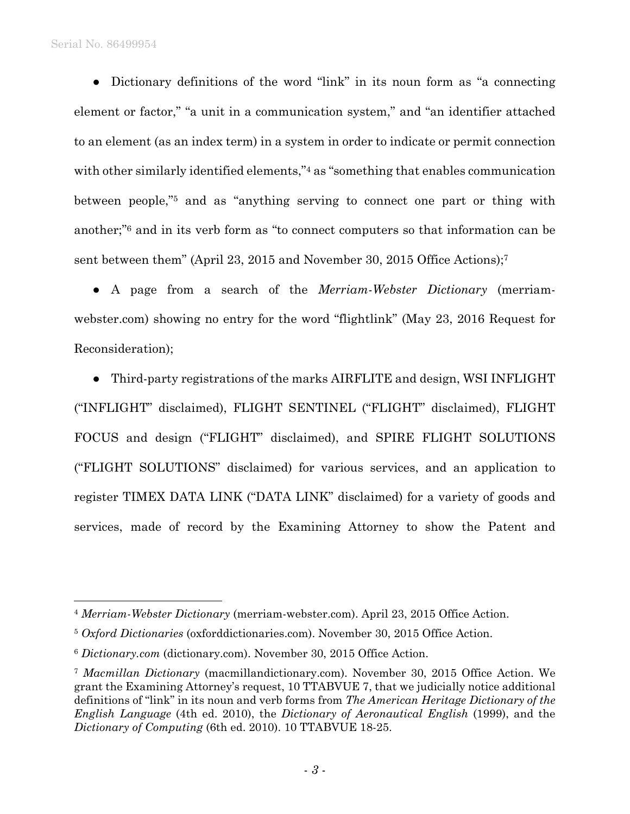Serial No. 86499954

1

● Dictionary definitions of the word "link" in its noun form as "a connecting element or factor," "a unit in a communication system," and "an identifier attached to an element (as an index term) in a system in order to indicate or permit connection with other similarly identified elements,"<sup>4</sup> as "something that enables communication between people,"5 and as "anything serving to connect one part or thing with another;"6 and in its verb form as "to connect computers so that information can be sent between them" (April 23, 2015 and November 30, 2015 Office Actions);7

● A page from a search of the *Merriam-Webster Dictionary* (merriamwebster.com) showing no entry for the word "flightlink" (May 23, 2016 Request for Reconsideration);

● Third-party registrations of the marks AIRFLITE and design, WSI INFLIGHT ("INFLIGHT" disclaimed), FLIGHT SENTINEL ("FLIGHT" disclaimed), FLIGHT FOCUS and design ("FLIGHT" disclaimed), and SPIRE FLIGHT SOLUTIONS ("FLIGHT SOLUTIONS" disclaimed) for various services, and an application to register TIMEX DATA LINK ("DATA LINK" disclaimed) for a variety of goods and services, made of record by the Examining Attorney to show the Patent and

<sup>4</sup> *Merriam-Webster Dictionary* (merriam-webster.com). April 23, 2015 Office Action.

<sup>5</sup> *Oxford Dictionaries* (oxforddictionaries.com). November 30, 2015 Office Action.

<sup>6</sup> *Dictionary.com* (dictionary.com). November 30, 2015 Office Action.

<sup>7</sup> *Macmillan Dictionary* (macmillandictionary.com). November 30, 2015 Office Action. We grant the Examining Attorney's request, 10 TTABVUE 7, that we judicially notice additional definitions of "link" in its noun and verb forms from *The American Heritage Dictionary of the English Language* (4th ed. 2010), the *Dictionary of Aeronautical English* (1999), and the *Dictionary of Computing* (6th ed. 2010). 10 TTABVUE 18-25.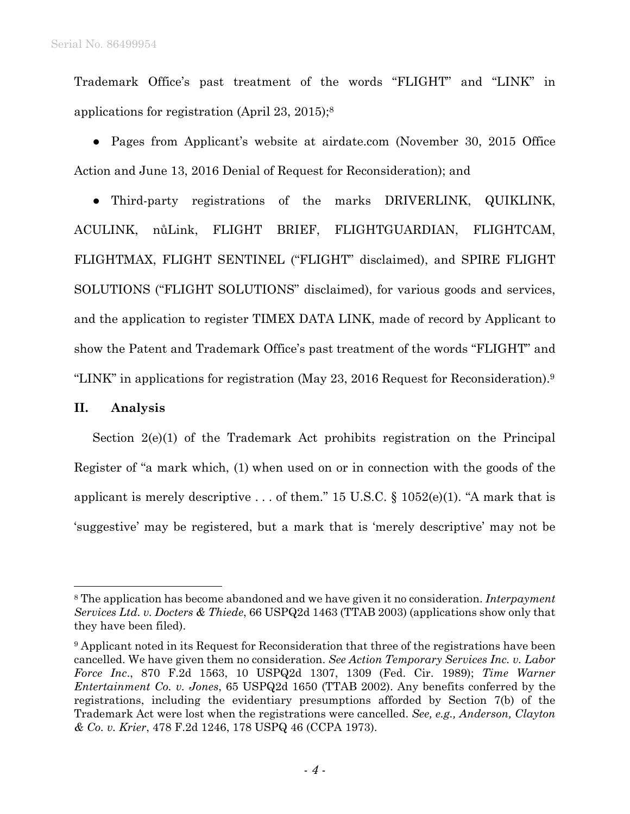Trademark Office's past treatment of the words "FLIGHT" and "LINK" in applications for registration (April 23, 2015);8

• Pages from Applicant's website at airdate.com (November 30, 2015 Office Action and June 13, 2016 Denial of Request for Reconsideration); and

● Third-party registrations of the marks DRIVERLINK, QUIKLINK, ACULINK, nůLink, FLIGHT BRIEF, FLIGHTGUARDIAN, FLIGHTCAM, FLIGHTMAX, FLIGHT SENTINEL ("FLIGHT" disclaimed), and SPIRE FLIGHT SOLUTIONS ("FLIGHT SOLUTIONS" disclaimed), for various goods and services, and the application to register TIMEX DATA LINK, made of record by Applicant to show the Patent and Trademark Office's past treatment of the words "FLIGHT" and "LINK" in applications for registration (May 23, 2016 Request for Reconsideration).9

## **II. Analysis**

1

Section 2(e)(1) of the Trademark Act prohibits registration on the Principal Register of "a mark which, (1) when used on or in connection with the goods of the applicant is merely descriptive ... of them." 15 U.S.C.  $\S$  1052(e)(1). "A mark that is 'suggestive' may be registered, but a mark that is 'merely descriptive' may not be

<sup>8</sup> The application has become abandoned and we have given it no consideration. *Interpayment Services Ltd. v. Docters & Thiede*, 66 USPQ2d 1463 (TTAB 2003) (applications show only that they have been filed).

<sup>9</sup> Applicant noted in its Request for Reconsideration that three of the registrations have been cancelled. We have given them no consideration. *See Action Temporary Services Inc. v. Labor Force Inc*., 870 F.2d 1563, 10 USPQ2d 1307, 1309 (Fed. Cir. 1989); *Time Warner Entertainment Co. v. Jones*, 65 USPQ2d 1650 (TTAB 2002). Any benefits conferred by the registrations, including the evidentiary presumptions afforded by Section 7(b) of the Trademark Act were lost when the registrations were cancelled. *See, e.g., Anderson, Clayton & Co. v. Krier*, 478 F.2d 1246, 178 USPQ 46 (CCPA 1973).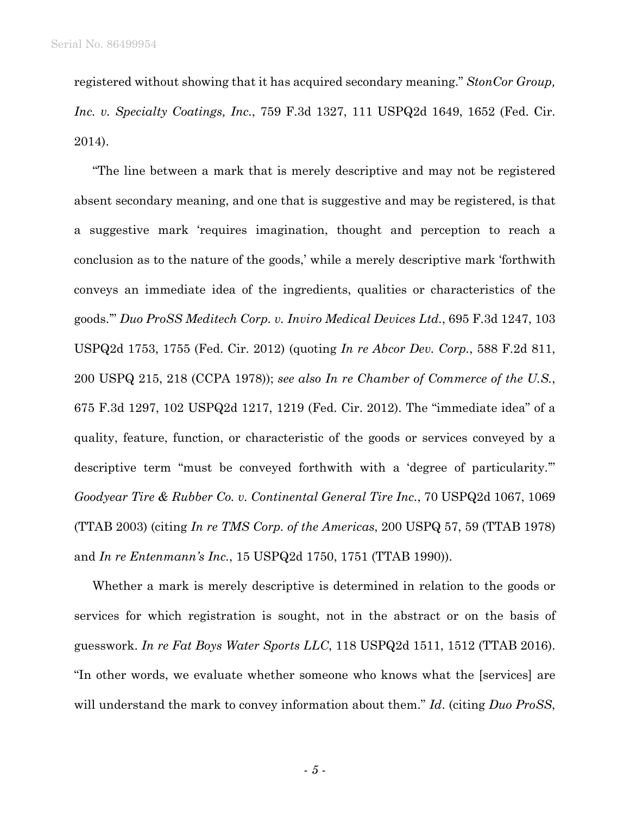registered without showing that it has acquired secondary meaning." *StonCor Group, Inc. v. Specialty Coatings, Inc.*, 759 F.3d 1327, 111 USPQ2d 1649, 1652 (Fed. Cir. 2014).

"The line between a mark that is merely descriptive and may not be registered absent secondary meaning, and one that is suggestive and may be registered, is that a suggestive mark 'requires imagination, thought and perception to reach a conclusion as to the nature of the goods,' while a merely descriptive mark 'forthwith conveys an immediate idea of the ingredients, qualities or characteristics of the goods.'" *Duo ProSS Meditech Corp. v. Inviro Medical Devices Ltd.*, 695 F.3d 1247, 103 USPQ2d 1753, 1755 (Fed. Cir. 2012) (quoting *In re Abcor Dev. Corp.*, 588 F.2d 811, 200 USPQ 215, 218 (CCPA 1978)); *see also In re Chamber of Commerce of the U.S.*, 675 F.3d 1297, 102 USPQ2d 1217, 1219 (Fed. Cir. 2012). The "immediate idea" of a quality, feature, function, or characteristic of the goods or services conveyed by a descriptive term "must be conveyed forthwith with a 'degree of particularity.'" *Goodyear Tire & Rubber Co. v. Continental General Tire Inc.*, 70 USPQ2d 1067, 1069 (TTAB 2003) (citing *In re TMS Corp. of the Americas*, 200 USPQ 57, 59 (TTAB 1978) and *In re Entenmann's Inc.*, 15 USPQ2d 1750, 1751 (TTAB 1990)).

Whether a mark is merely descriptive is determined in relation to the goods or services for which registration is sought, not in the abstract or on the basis of guesswork. *In re Fat Boys Water Sports LLC*, 118 USPQ2d 1511, 1512 (TTAB 2016). "In other words, we evaluate whether someone who knows what the [services] are will understand the mark to convey information about them." *Id*. (citing *Duo ProSS*,

- *5* -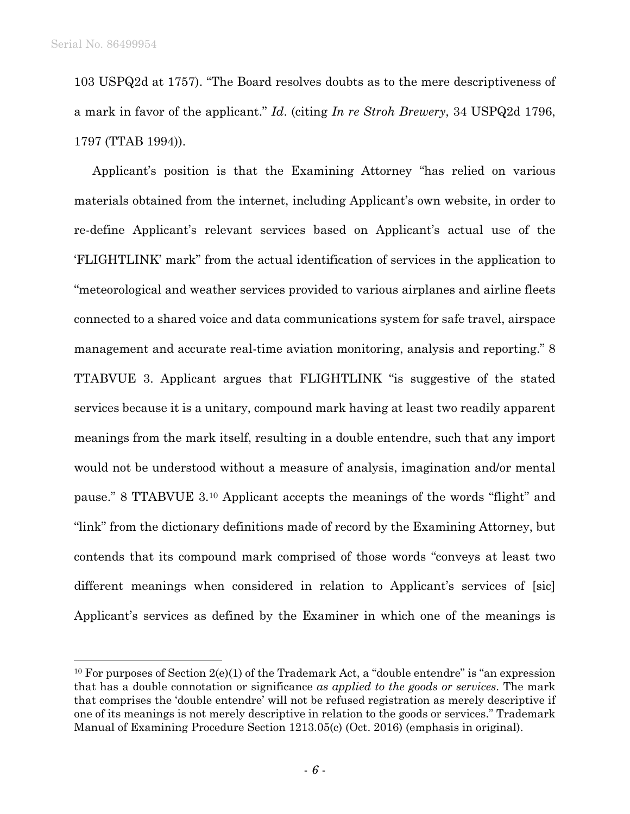103 USPQ2d at 1757). "The Board resolves doubts as to the mere descriptiveness of a mark in favor of the applicant." *Id*. (citing *In re Stroh Brewery*, 34 USPQ2d 1796, 1797 (TTAB 1994)).

Applicant's position is that the Examining Attorney "has relied on various materials obtained from the internet, including Applicant's own website, in order to re-define Applicant's relevant services based on Applicant's actual use of the 'FLIGHTLINK' mark" from the actual identification of services in the application to "meteorological and weather services provided to various airplanes and airline fleets connected to a shared voice and data communications system for safe travel, airspace management and accurate real-time aviation monitoring, analysis and reporting." 8 TTABVUE 3. Applicant argues that FLIGHTLINK "is suggestive of the stated services because it is a unitary, compound mark having at least two readily apparent meanings from the mark itself, resulting in a double entendre, such that any import would not be understood without a measure of analysis, imagination and/or mental pause." 8 TTABVUE 3.10 Applicant accepts the meanings of the words "flight" and "link" from the dictionary definitions made of record by the Examining Attorney, but contends that its compound mark comprised of those words "conveys at least two different meanings when considered in relation to Applicant's services of [sic] Applicant's services as defined by the Examiner in which one of the meanings is

<sup>&</sup>lt;sup>10</sup> For purposes of Section  $2(e)(1)$  of the Trademark Act, a "double entendre" is "an expression that has a double connotation or significance *as applied to the goods or services*. The mark that comprises the 'double entendre' will not be refused registration as merely descriptive if one of its meanings is not merely descriptive in relation to the goods or services." Trademark Manual of Examining Procedure Section 1213.05(c) (Oct. 2016) (emphasis in original).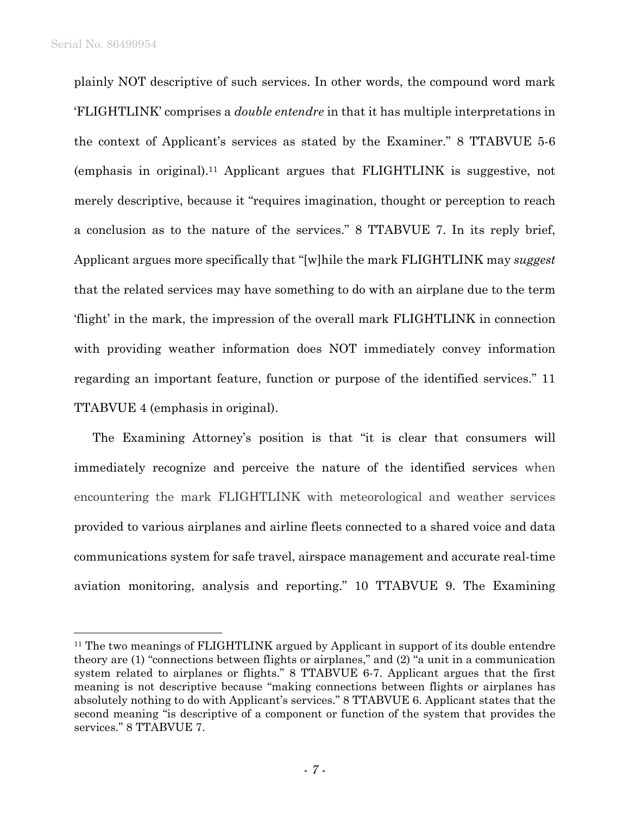plainly NOT descriptive of such services. In other words, the compound word mark 'FLIGHTLINK' comprises a *double entendre* in that it has multiple interpretations in the context of Applicant's services as stated by the Examiner." 8 TTABVUE 5-6 (emphasis in original).11 Applicant argues that FLIGHTLINK is suggestive, not merely descriptive, because it "requires imagination, thought or perception to reach a conclusion as to the nature of the services." 8 TTABVUE 7. In its reply brief, Applicant argues more specifically that "[w]hile the mark FLIGHTLINK may *suggest* that the related services may have something to do with an airplane due to the term 'flight' in the mark, the impression of the overall mark FLIGHTLINK in connection with providing weather information does NOT immediately convey information regarding an important feature, function or purpose of the identified services." 11 TTABVUE 4 (emphasis in original).

The Examining Attorney's position is that "it is clear that consumers will immediately recognize and perceive the nature of the identified services when encountering the mark FLIGHTLINK with meteorological and weather services provided to various airplanes and airline fleets connected to a shared voice and data communications system for safe travel, airspace management and accurate real-time aviation monitoring, analysis and reporting." 10 TTABVUE 9. The Examining

<sup>&</sup>lt;sup>11</sup> The two meanings of FLIGHTLINK argued by Applicant in support of its double entendre theory are (1) "connections between flights or airplanes," and (2) "a unit in a communication system related to airplanes or flights." 8 TTABVUE 6-7. Applicant argues that the first meaning is not descriptive because "making connections between flights or airplanes has absolutely nothing to do with Applicant's services." 8 TTABVUE 6. Applicant states that the second meaning "is descriptive of a component or function of the system that provides the services." 8 TTABVUE 7.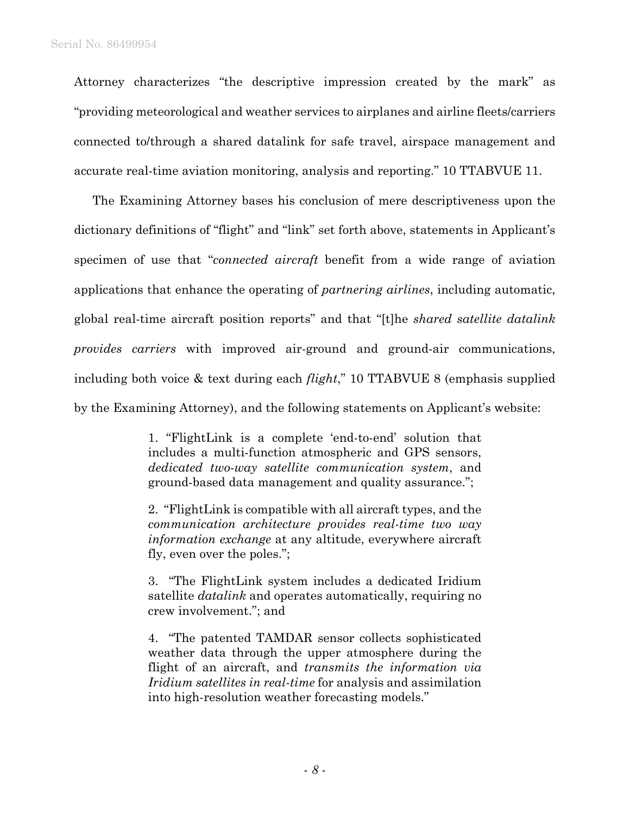Attorney characterizes "the descriptive impression created by the mark" as "providing meteorological and weather services to airplanes and airline fleets/carriers connected to/through a shared datalink for safe travel, airspace management and accurate real-time aviation monitoring, analysis and reporting." 10 TTABVUE 11.

The Examining Attorney bases his conclusion of mere descriptiveness upon the dictionary definitions of "flight" and "link" set forth above, statements in Applicant's specimen of use that "*connected aircraft* benefit from a wide range of aviation applications that enhance the operating of *partnering airlines*, including automatic, global real-time aircraft position reports" and that "[t]he *shared satellite datalink provides carriers* with improved air-ground and ground-air communications, including both voice & text during each *flight*," 10 TTABVUE 8 (emphasis supplied by the Examining Attorney), and the following statements on Applicant's website:

> 1. "FlightLink is a complete 'end-to-end' solution that includes a multi-function atmospheric and GPS sensors, *dedicated two-way satellite communication system*, and ground-based data management and quality assurance.";

> 2. "FlightLink is compatible with all aircraft types, and the *communication architecture provides real-time two way information exchange* at any altitude, everywhere aircraft fly, even over the poles.";

> 3. "The FlightLink system includes a dedicated Iridium satellite *datalink* and operates automatically, requiring no crew involvement."; and

> 4. "The patented TAMDAR sensor collects sophisticated weather data through the upper atmosphere during the flight of an aircraft, and *transmits the information via Iridium satellites in real-time* for analysis and assimilation into high-resolution weather forecasting models."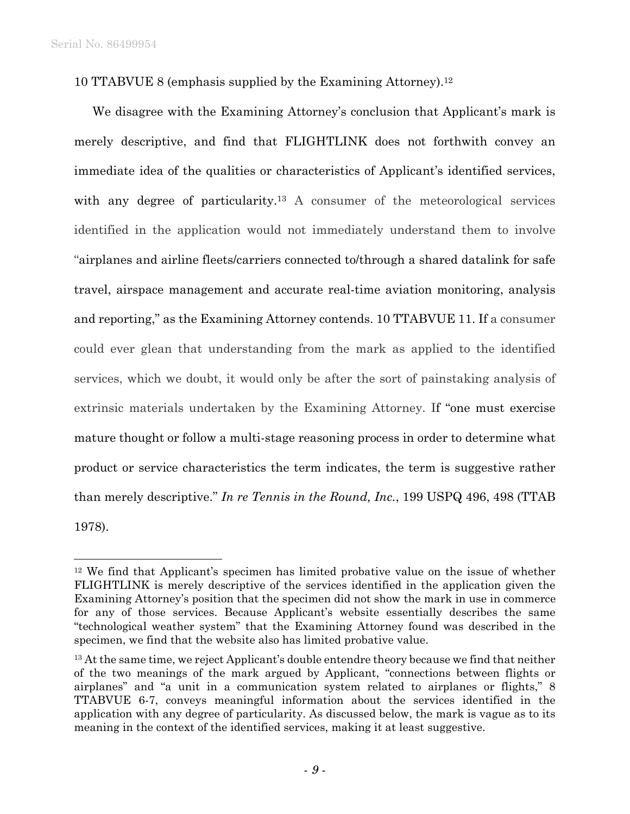10 TTABVUE 8 (emphasis supplied by the Examining Attorney).12

We disagree with the Examining Attorney's conclusion that Applicant's mark is merely descriptive, and find that FLIGHTLINK does not forthwith convey an immediate idea of the qualities or characteristics of Applicant's identified services, with any degree of particularity.<sup>13</sup> A consumer of the meteorological services identified in the application would not immediately understand them to involve "airplanes and airline fleets/carriers connected to/through a shared datalink for safe travel, airspace management and accurate real-time aviation monitoring, analysis and reporting," as the Examining Attorney contends. 10 TTABVUE 11. If a consumer could ever glean that understanding from the mark as applied to the identified services, which we doubt, it would only be after the sort of painstaking analysis of extrinsic materials undertaken by the Examining Attorney. If "one must exercise mature thought or follow a multi-stage reasoning process in order to determine what product or service characteristics the term indicates, the term is suggestive rather than merely descriptive." *In re Tennis in the Round, Inc.*, 199 USPQ 496, 498 (TTAB 1978).

<sup>12</sup> We find that Applicant's specimen has limited probative value on the issue of whether FLIGHTLINK is merely descriptive of the services identified in the application given the Examining Attorney's position that the specimen did not show the mark in use in commerce for any of those services. Because Applicant's website essentially describes the same "technological weather system" that the Examining Attorney found was described in the specimen, we find that the website also has limited probative value.

<sup>&</sup>lt;sup>13</sup> At the same time, we reject Applicant's double entendre theory because we find that neither of the two meanings of the mark argued by Applicant, "connections between flights or airplanes" and "a unit in a communication system related to airplanes or flights," 8 TTABVUE 6-7, conveys meaningful information about the services identified in the application with any degree of particularity. As discussed below, the mark is vague as to its meaning in the context of the identified services, making it at least suggestive.